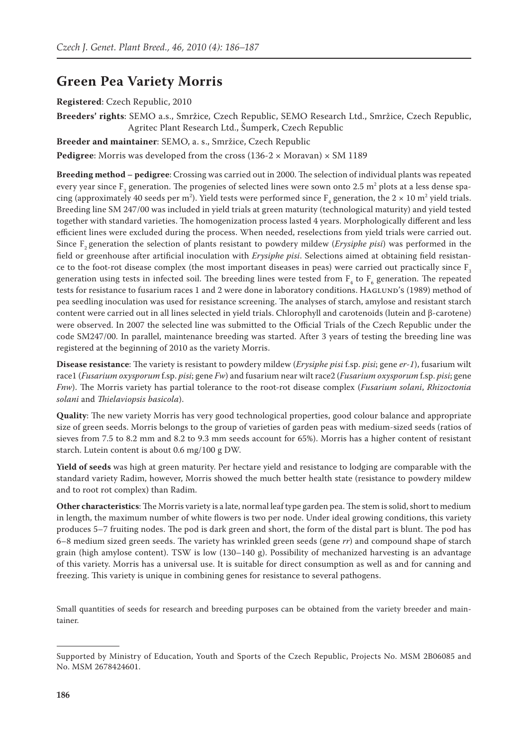## **Green Pea Variety Morris**

## **Registered**: Czech Republic, 2010

**Breeders' rights**: SEMO a.s., Smržice, Czech Republic, SEMO Research Ltd., Smržice, Czech Republic, Agritec Plant Research Ltd., Šumperk, Czech Republic

**Breeder and maintainer**: SEMO, a. s., Smržice, Czech Republic

**Pedigree**: Morris was developed from the cross  $(136-2 \times \text{Moravan}) \times \text{SM}$  1189

**Breeding method – pedigree**: Crossing was carried out in 2000. The selection of individual plants was repeated every year since  $\rm F_2$  generation. The progenies of selected lines were sown onto 2.5  $\rm m^2$  plots at a less dense spacing (approximately 40 seeds per m<sup>2</sup>). Yield tests were performed since  $F_4$  generation, the 2  $\times$  10 m<sup>2</sup> yield trials. Breeding line SM 247/00 was included in yield trials at green maturity (technological maturity) and yield tested together with standard varieties. The homogenization process lasted 4 years. Morphologically different and less efficient lines were excluded during the process. When needed, reselections from yield trials were carried out. Since F<sub>2</sub> generation the selection of plants resistant to powdery mildew (*Erysiphe pisi*) was performed in the field or greenhouse after artificial inoculation with *Erysiphe pisi*. Selections aimed at obtaining field resistance to the foot-rot disease complex (the most important diseases in peas) were carried out practically since F<sub>3</sub> generation using tests in infected soil. The breeding lines were tested from  $\rm F^{}_4$  to  $\rm F^{}_6$  generation. The repeated tests for resistance to fusarium races 1 and 2 were done in laboratory conditions. HAGLUND's (1989) method of pea seedling inoculation was used for resistance screening. The analyses of starch, amylose and resistant starch content were carried out in all lines selected in yield trials. Chlorophyll and carotenoids (lutein and β-carotene) were observed. In 2007 the selected line was submitted to the Official Trials of the Czech Republic under the code SM247/00. In parallel, maintenance breeding was started. After 3 years of testing the breeding line was registered at the beginning of 2010 as the variety Morris.

**Disease resistance**: The variety is resistant to powdery mildew (*Erysiphe pisi* f.sp. *pisi*; gene *er-1*), fusarium wilt race1 (*Fusarium oxysporum* f.sp. *pisi*; gene *Fw*) and fusarium near wilt race2 (*Fusarium oxysporum* f.sp. *pisi*; gene *Fnw*). The Morris variety has partial tolerance to the root-rot disease complex (*Fusarium solani*, *Rhizoctonia solani* and *Thielaviopsis basicola*).

**Quality**: The new variety Morris has very good technological properties, good colour balance and appropriate size of green seeds. Morris belongs to the group of varieties of garden peas with medium-sized seeds (ratios of sieves from 7.5 to 8.2 mm and 8.2 to 9.3 mm seeds account for 65%). Morris has a higher content of resistant starch. Lutein content is about 0.6 mg/100 g DW.

**Yield of seeds** was high at green maturity. Per hectare yield and resistance to lodging are comparable with the standard variety Radim, however, Morris showed the much better health state (resistance to powdery mildew and to root rot complex) than Radim.

**Other characteristics**: The Morris variety is a late, normal leaf type garden pea. The stem is solid, short to medium in length, the maximum number of white flowers is two per node. Under ideal growing conditions, this variety produces 5–7 fruiting nodes. The pod is dark green and short, the form of the distal part is blunt. The pod has 6–8 medium sized green seeds. The variety has wrinkled green seeds (gene *rr*) and compound shape of starch grain (high amylose content). TSW is low (130–140 g). Possibility of mechanized harvesting is an advantage of this variety. Morris has a universal use. It is suitable for direct consumption as well as and for canning and freezing. This variety is unique in combining genes for resistance to several pathogens.

Small quantities of seeds for research and breeding purposes can be obtained from the variety breeder and maintainer.

Supported by Ministry of Education, Youth and Sports of the Czech Republic, Projects No. MSM 2B06085 and No. MSM 2678424601.